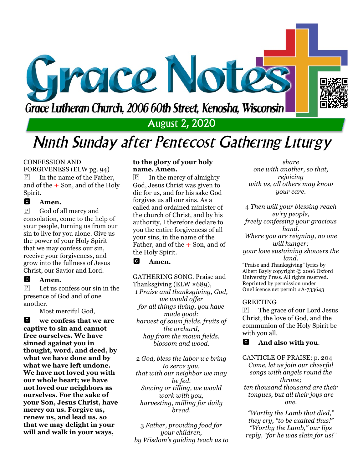

# Ninth Sunday after Pentecost Gathering Liturgy

## CONFESSION AND

FORGIVENESS (ELW pg. 94)  $\overline{P}$  In the name of the Father, and of the  $+$  Son, and of the Holy Spirit.

## **Amen.**

P God of all mercy and consolation, come to the help of your people, turning us from our sin to live for you alone. Give us the power of your Holy Spirit that we may confess our sin, receive your forgiveness, and grow into the fullness of Jesus Christ, our Savior and Lord.

## **Amen.**

 $\overline{P}$  Let us confess our sin in the presence of God and of one another.

Most merciful God,

 **we confess that we are captive to sin and cannot free ourselves. We have sinned against you in thought, word, and deed, by what we have done and by what we have left undone. We have not loved you with our whole heart; we have not loved our neighbors as ourselves. For the sake of your Son, Jesus Christ, have mercy on us. Forgive us, renew us, and lead us, so that we may delight in your will and walk in your ways,** 

## **to the glory of your holy name. Amen.**

P In the mercy of almighty God, Jesus Christ was given to die for us, and for his sake God forgives us all our sins. As a called and ordained minister of the church of Christ, and by his authority, I therefore declare to you the entire forgiveness of all your sins, in the name of the Father, and of the  $+$  Son, and of the Holy Spirit.

## **Amen.**

GATHERING SONG. Praise and Thanksgiving (ELW #689), 1 *Praise and thanksgiving, God, we would offer for all things living, you have made good: harvest of sown fields, fruits of the orchard, hay from the mown fields, blossom and wood.*

2 *God, bless the labor we bring to serve you, that with our neighbor we may be fed. Sowing or tilling, we would work with you, harvesting, milling for daily bread.*

3 *Father, providing food for your children, by Wisdom's guiding teach us to* 

*share one with another, so that, rejoicing with us, all others may know your care.*

4 *Then will your blessing reach ev'ry people, freely confessing your gracious hand. Where you are reigning, no one will hunger; your love sustaining showers the land.* "Praise and Thanksgiving" lyrics by Albert Bayly copyright © 2006 Oxford University Press. All rights reserved. Reprinted by permission under OneLicence.net permit #A-733643

### GREETING

 $\overline{P}$  The grace of our Lord Jesus Christ, the love of God, and the communion of the Holy Spirit be with you all.

## **And also with you**.

CANTICLE OF PRAISE: p. 204 *Come, let us join our cheerful songs with angels round the throne; ten thousand thousand are their tongues, but all their joys are one.*

*"Worthy the Lamb that died," they cry, "to be exalted thus!" "Worthy the Lamb," our lips reply, "for he was slain for us!"*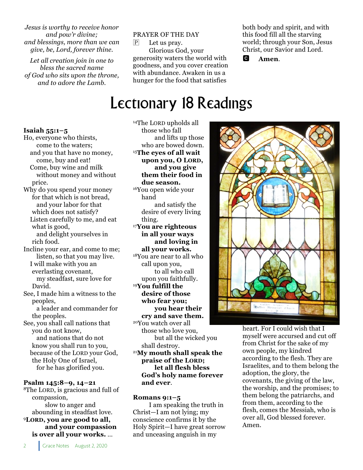*Jesus is worthy to receive honor and pow'r divine; and blessings, more than we can give, be, Lord, forever thine.*

*Let all creation join in one to bless the sacred name of God who sits upon the throne, and to adore the Lamb.*

### PRAYER OF THE DAY

14The LORD upholds all those who fall

**due season.**

P Let us pray.

Glorious God, your generosity waters the world with goodness, and you cover creation with abundance. Awaken in us a hunger for the food that satisfies

both body and spirit, and with this food fill all the starving world; through your Son, Jesus Christ, our Savior and Lord.



# Lectionary 18 Readings

and lifts up those who are bowed down. <sup>15</sup>**The eyes of all wait upon you, O LORD, and you give them their food in** 

### **Isaiah 55:1–5**

- Ho, everyone who thirsts, come to the waters; and you that have no money, come, buy and eat! Come, buy wine and milk
	- without money and without price.
- Why do you spend your money for that which is not bread, and your labor for that which does not satisfy?
	- Listen carefully to me, and eat what is good,

 and delight yourselves in rich food.

Incline your ear, and come to me; listen, so that you may live.

I will make with you an everlasting covenant, my steadfast, sure love for David.

See, I made him a witness to the peoples, a leader and commander for

the peoples. See, you shall call nations that

you do not know, and nations that do not know you shall run to you, because of the LORD your God, the Holy One of Israel, for he has glorified you.

#### **Psalm 145:8–9, 14–21**

8The LORD, is gracious and full of compassion, slow to anger and abounding in steadfast love. <sup>9</sup>**LORD, you are good to all, and your compassion is over all your works.** …

16You open wide your hand and satisfy the desire of every living thing. <sup>17</sup>**You are righteous in all your ways and loving in all your works.** 18You are near to all who call upon you,

> to all who call upon you faithfully. <sup>19</sup>**You fulfill the desire of those who fear you; you hear their cry and save them.**

- 20You watch over all those who love you, but all the wicked you shall destroy.
- <sup>21</sup>**My mouth shall speak the praise of the LORD; let all flesh bless God's holy name forever and ever**.

#### **Romans 9:1–5**

I am speaking the truth in Christ—I am not lying; my conscience confirms it by the Holy Spirit—I have great sorrow and unceasing anguish in my



heart. For I could wish that I myself were accursed and cut off from Christ for the sake of my own people, my kindred according to the flesh. They are Israelites, and to them belong the adoption, the glory, the covenants, the giving of the law, the worship, and the promises; to them belong the patriarchs, and from them, according to the flesh, comes the Messiah, who is over all, God blessed forever. Amen.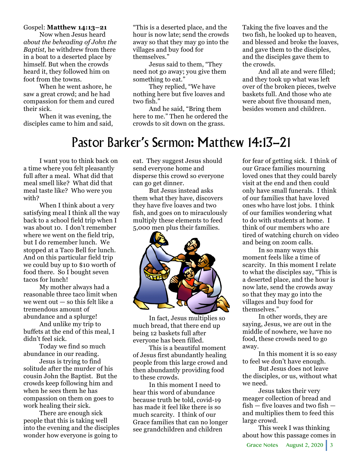### Gospel: **Matthew 14:13–21**

Now when Jesus heard *about the beheading of John the Baptist*, he withdrew from there in a boat to a deserted place by himself. But when the crowds heard it, they followed him on foot from the towns.

When he went ashore, he saw a great crowd; and he had compassion for them and cured their sick.

When it was evening, the disciples came to him and said,

"This is a deserted place, and the hour is now late; send the crowds away so that they may go into the villages and buy food for themselves."

Jesus said to them, "They need not go away; you give them something to eat."

They replied, "We have nothing here but five loaves and two fish."

And he said, "Bring them here to me." Then he ordered the crowds to sit down on the grass.

Taking the five loaves and the two fish, he looked up to heaven, and blessed and broke the loaves, and gave them to the disciples, and the disciples gave them to the crowds.

And all ate and were filled; and they took up what was left over of the broken pieces, twelve baskets full. And those who ate were about five thousand men, besides women and children.

# Pastor Barker's Sermon: Matthew 14:13–21

I want you to think back on a time where you felt pleasantly full after a meal. What did that meal smell like? What did that meal taste like? Who were you with?

When I think about a very satisfying meal I think all the way back to a school field trip when I was about 10. I don't remember where we went on the field trip, but I do remember lunch. We stopped at a Taco Bell for lunch. And on this particular field trip we could buy up to \$10 worth of food there. So I bought seven tacos for lunch!

My mother always had a reasonable three taco limit when we went out — so this felt like a tremendous amount of abundance and a splurge!

And unlike my trip to buffets at the end of this meal, I didn't feel sick.

Today we find so much abundance in our reading.

Jesus is trying to find solitude after the murder of his cousin John the Baptist. But the crowds keep following him and when he sees them he has compassion on them on goes to work healing their sick.

There are enough sick people that this is taking well into the evening and the disciples wonder how everyone is going to

eat. They suggest Jesus should send everyone home and disperse this crowd so everyone can go get dinner.

But Jesus instead asks them what they have, discovers they have five loaves and two fish, and goes on to miraculously multiply these elements to feed 5,000 men plus their families.



In fact, Jesus multiplies so much bread, that there end up being 12 baskets full after everyone has been filled.

This is a beautiful moment of Jesus first abundantly healing people from this large crowd and then abundantly providing food to these crowds.

In this moment I need to hear this word of abundance because truth be told, covid-19 has made it feel like there is so much scarcity. I think of our Grace families that can no longer see grandchildren and children

for fear of getting sick. I think of our Grace families mourning loved ones that they could barely visit at the end and then could only have small funerals. I think of our families that have loved ones who have lost jobs. I think of our families wondering what to do with students at home. I think of our members who are tired of watching church on video and being on zoom calls.

In so many ways this moment feels like a time of scarcity. In this moment I relate to what the disciples say, "This is a deserted place, and the hour is now late, send the crowds away so that they may go into the villages and buy food for themselves."

In other words, they are saying, Jesus, we are out in the middle of nowhere, we have no food, these crowds need to go away.

In this moment it is so easy to feel we don't have enough.

But Jesus does not leave the disciples, or us, without what we need.

Jesus takes their very meager collection of bread and  $fish$  — five loaves and two fish and multiplies them to feed this large crowd.

This week I was thinking about how this passage comes in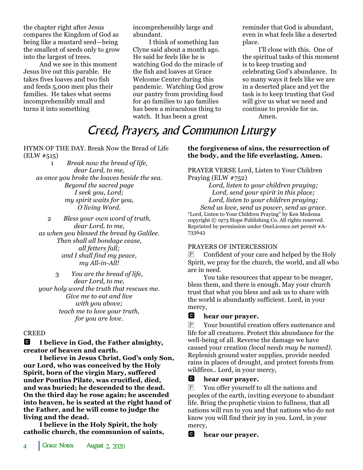the chapter right after Jesus compares the Kingdom of God as being like a mustard seed—being the smallest of seeds only to grow into the largest of trees.

And we see in this moment Jesus live out this parable. He takes fives loaves and two fish and feeds 5,000 men plus their families. He takes what seems incomprehensibly small and turns it into something

incomprehensibly large and abundant.

I think of something Ian Clyne said about a month ago. He said he feels like he is watching God do the miracle of the fish and loaves at Grace Welcome Center during this pandemic. Watching God grow our pantry from providing food for 40 families to 140 families has been a miraculous thing to watch. It has been a great

reminder that God is abundant, even in what feels like a deserted place.

I'll close with this. One of the spiritual tasks of this moment is to keep trusting and celebrating God's abundance. In so many ways it feels like we are in a deserted place and yet the task is to keep trusting that God will give us what we need and continue to provide for us.

Amen.

# Creed, Prayers, and Communion Liturgy

HYMN OF THE DAY. Break Now the Bread of Life (ELW #515)

1 *Break now the bread of life, dear Lord, to me, as once you broke the loaves beside the sea. Beyond the sacred page I seek you, Lord; my spirit waits for you, O living Word.*

2 *Bless your own word of truth, dear Lord, to me, as when you blessed the bread by Galilee. Then shall all bondage cease, all fetters fall; and I shall find my peace, my All-in-All!*

3 *You are the bread of life, dear Lord, to me, your holy word the truth that rescues me. Give me to eat and live with you above; teach me to love your truth, for you are love.*

## CREED

 **I believe in God, the Father almighty, creator of heaven and earth.**

**I believe in Jesus Christ, God's only Son, our Lord, who was conceived by the Holy Spirit, born of the virgin Mary, suffered under Pontius Pilate, was crucified, died, and was buried; he descended to the dead. On the third day he rose again; he ascended into heaven, he is seated at the right hand of the Father, and he will come to judge the living and the dead.**

**I believe in the Holy Spirit, the holy catholic church, the communion of saints,** 

## **the forgiveness of sins, the resurrection of the body, and the life everlasting. Amen.**

PRAYER VERSE Lord, Listen to Your Children Praying (ELW #752)

*Lord, listen to your children praying; Lord, send your spirit in this place; Lord, listen to your children praying; Send us love, send us power, send us grace.* "Lord, Listen to Your Children Praying" by Ken Medema copyright © 1973 Hope Publishing Co. All rights reserved. Reprinted by permission under OneLicence.net permit #A-733643

## PRAYERS OF INTERCESSION

P Confident of your care and helped by the Holy Spirit, we pray for the church, the world, and all who are in need.

You take resources that appear to be meager, bless them, and there is enough. May your church trust that what you bless and ask us to share with the world is abundantly sufficient. Lord, in your mercy,

# **hear our prayer.**

 $\overline{P}$  Your bountiful creation offers sustenance and life for all creatures. Protect this abundance for the well-being of all. Reverse the damage we have caused your creation *(local needs may be named).* Replenish ground water supplies, provide needed rains in places of drought, and protect forests from wildfires.. Lord, in your mercy,

# **hear our prayer.**

P You offer yourself to all the nations and peoples of the earth, inviting everyone to abundant life. Bring the prophetic vision to fullness, that all nations will run to you and that nations who do not know you will find their joy in you. Lord, in your mercy,

## **hear our prayer.**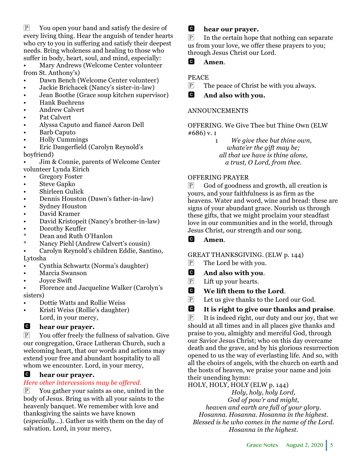P You open your hand and satisfy the desire of every living thing. Hear the anguish of tender hearts who cry to you in suffering and satisfy their deepest needs. Bring wholeness and healing to those who suffer in body, heart, soul, and mind, especially:

• Mary Andrews (Welcome Center volunteer from St. Anthony's)

- Dawn Bench (Welcome Center volunteer)
- Jackie Brichacek (Nancy's sister-in-law)
- Jean Boothe (Grace soup kitchen supervisor)
- Hank Buehrens
- Andrew Calvert
- Pat Calvert
- Alyssa Caputo and fiancé Aaron Dell
- Barb Caputo
- Holly Cummings
- Eric Dangerfield (Carolyn Reynold's

boyfriend)

• Jim & Connie, parents of Welcome Center volunteer Lynda Eirich

- Gregory Foster
- Steve Gapko
- Shirleen Gulick
- Dennis Houston (Dawn's father-in-law)
- Sydney Houston
- David Kramer
- David Kristopeit (Nancy's brother-in-law)
- Dorothy Keuffer
- Dean and Ruth O'Hanlon
- \* Nancy Piehl (Andrew Calvert's cousin)
- Carolyn Reynold's children Eddie, Santino, Lytosha
- Cynthia Schwartz (Norma's daughter)
- Marcia Swanson
- Joyce Swift

• Florence and Jacqueline Walker (Carolyn's sisters)

- Dottie Watts and Rollie Weiss
- Kristi Weiss (Rollie's daughter) Lord, in your mercy,

# **hear our prayer.**

P You offer freely the fullness of salvation. Give our congregation, Grace Lutheran Church, such a welcoming heart, that our words and actions may extend your free and abundant hospitality to all whom we encounter. Lord, in your mercy,

# **hear our prayer.**

# *Here other intercessions may be offered.*

 $\overline{P}$  You gather your saints as one, united in the body of Jesus. Bring us with all your saints to the heavenly banquet. We remember with love and thanksgiving the saints we have known (*especially…*). Gather us with them on the day of salvation. Lord, in your mercy,

# **hear our prayer.**

 $\overline{P}$  In the certain hope that nothing can separate us from your love, we offer these prayers to you; through Jesus Christ our Lord.

## **Amen**.

PEACE

- $\overline{P}$  The peace of Christ be with you always.
- **And also with you.**

## ANNOUNCEMENTS

OFFERING. We Give Thee but Thine Own (ELW #686) v. 1

1 *We give thee but thine own, whate'er the gift may be; all that we have is thine alone, a trust, O Lord, from thee.*

## OFFERING PRAYER

P God of goodness and growth, all creation is yours, and your faithfulness is as firm as the heavens. Water and word, wine and bread: these are signs of your abundant grace. Nourish us through these gifts, that we might proclaim your steadfast love in our communities and in the world, through Jesus Christ, our strength and our song.

# **Amen**.

## GREAT THANKSGIVING. (ELW p. 144)

- P The Lord be with you.
- **And also with you**.
- $\overline{P}$  Lift up your hearts.
- **We lift them to the Lord**.
- $\overline{P}$  Let us give thanks to the Lord our God.

## **It is right to give our thanks and praise**.

 $\overline{P}$  It is indeed right, our duty and our joy, that we should at all times and in all places give thanks and praise to you, almighty and merciful God, through our Savior Jesus Christ; who on this day overcame death and the grave, and by his glorious resurrection opened to us the way of everlasting life. And so, with all the choirs of angels, with the church on earth and the hosts of heaven, we praise your name and join their unending hymn:

HOLY, HOLY, HOLY (ELW p. 144)

*Holy, holy, holy Lord, God of pow'r and might, heaven and earth are full of your glory. Hosanna. Hosanna. Hosanna in the highest. Blessed is he who comes in the name of the Lord. Hosanna in the highest.*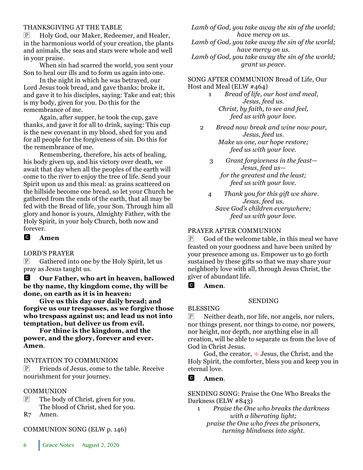## THANKSGIVING AT THE TABLE

P Holy God, our Maker, Redeemer, and Healer, in the harmonious world of your creation, the plants and animals, the seas and stars were whole and well in your praise.

When sin had scarred the world, you sent your Son to heal our ills and to form us again into one.

In the night in which he was betrayed, our Lord Jesus took bread, and gave thanks; broke it, and gave it to his disciples, saying: Take and eat; this is my body, given for you. Do this for the remembrance of me.

Again, after supper, he took the cup, gave thanks, and gave it for all to drink, saying: This cup is the new covenant in my blood, shed for you and for all people for the forgiveness of sin. Do this for the remembrance of me.

Remembering, therefore, his acts of healing, his body given up, and his victory over death, we await that day when all the peoples of the earth will come to the river to enjoy the tree of life. Send your Spirit upon us and this meal: as grains scattered on the hillside become one bread, so let your Church be gathered from the ends of the earth, that all may be fed with the Bread of life, your Son. Through him all glory and honor is yours, Almighty Father, with the Holy Spirit, in your holy Church, both now and forever.

## **Amen**

# LORD'S PRAYER

P Gathered into one by the Holy Spirit, let us pray as Jesus taught us.

 **Our Father, who art in heaven, hallowed be thy name, thy kingdom come, thy will be done, on earth as it is in heaven:**

**Give us this day our daily bread; and forgive us our trespasses, as we forgive those who trespass against us; and lead us not into temptation, but deliver us from evil.**

**For thine is the kingdom, and the power, and the glory, forever and ever. Amen**.

## INVITATION TO COMMUNION

 $\overline{P}$  Friends of Jesus, come to the table. Receive nourishment for your journey.

## **COMMUNION**

- P The body of Christ, given for you. The blood of Christ, shed for you.
- R7 Amen.

## COMMUNION SONG (ELW p. 146)

*Lamb of God, you take away the sin of the world; have mercy on us.*

*Lamb of God, you take away the sin of the world; have mercy on us.*

*Lamb of God, you take away the sin of the world; grant us peace.*

## SONG AFTER COMMUNION Bread of Life, Our Host and Meal (ELW #464)

- 1 *Bread of life, our host and meal, Jesus, feed us. Christ, by faith, to see and feel, feed us with your love.*
- 2 *Bread now break and wine now pour, Jesus, feed us. Make us one, our hope restore; feed us with your love.*
	- 3 *Grant forgiveness in the feast— Jesus, feed us for the greatest and the least; feed us with your love.*
	- 4 *Thank you for this gift we share. Jesus, feed us. Save God's children everywhere; feed us with your love.*

## PRAYER AFTER COMMUNION

 $\overline{P}$  God of the welcome table, in this meal we have feasted on your goodness and have been united by your presence among us. Empower us to go forth sustained by these gifts so that we may share your neighborly love with all, through Jesus Christ, the giver of abundant life.

**Amen**.

## SENDING

## BLESSING

P Neither death, nor life, nor angels, nor rulers, nor things present, nor things to come, nor powers, nor height, nor depth, nor anything else in all creation, will be able to separate us from the love of God in Christ Jesus.

God, the creator,  $+$  Jesus, the Christ, and the Holy Spirit, the comforter, bless you and keep you in eternal love.

# **Amen**.

SENDING SONG: Praise the One Who Breaks the Darkness (ELW #843)

1 *Praise the One who breaks the darkness with a liberating light; praise the One who frees the prisoners, turning blindness into sight.*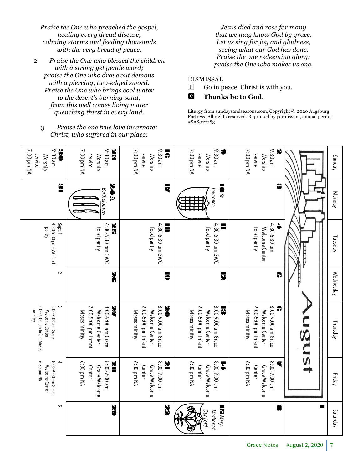- *Praise the One who preached the gospel, healing every dread disease, calming storms and feeding thousands with the very bread of peace.*
- 2 *Praise the One who blessed the children with a strong yet gentle word; praise the One who drove out demons with a piercing, two-edged sword. Praise the One who brings cool water to the desert's burning sand; from this well comes living water quenching thirst in every land.*
	- 3 *Praise the one true love incarnate: Christ, who suffered in our place;*

*Jesus died and rose for many that we may know God by grace. Let us sing for joy and gladness, seeing what our God has done. Praise the one redeeming glory; praise the One who makes us one.*

## DISMISSAL

P Go in peace. Christ is with you.

## **Thanks be to God**.

Liturgy from sundaysandseasons.com, Copyright © 2020 Augsburg Fortress. All rights reserved. Reprinted by permission, annual permit #SAS017083